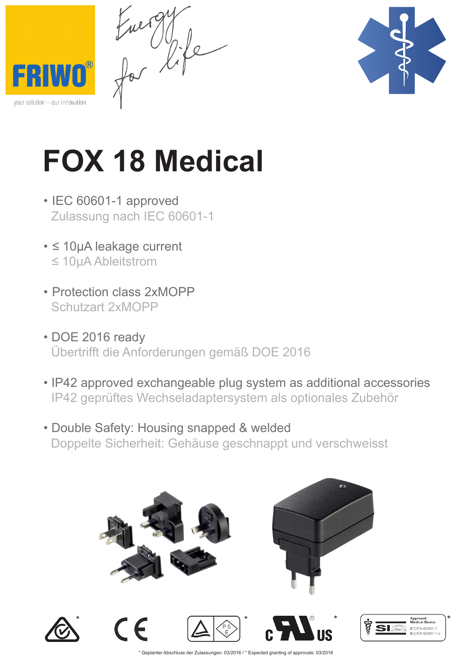$\begin{matrix} 1 & 0 \\ 0 & 0 \end{matrix}$ 





## **FOX 18 Medical**

- IEC 60601-1 approved Zulassung nach IEC 60601-1
- ≤ 10µA leakage current ≤ 10µA Ableitstrom
- Protection class 2xMOPP Schutzart 2xMOPP
- DOE 2016 ready Übertrifft die Anforderungen gemäß DOE 2016
- IP42 approved exchangeable plug system as additional accessories IP42 geprüftes Wechseladaptersystem als optionales Zubehör
- Double Safety: Housing snapped & welded Doppelte Sicherheit: Gehäuse geschnappt und verschweisst